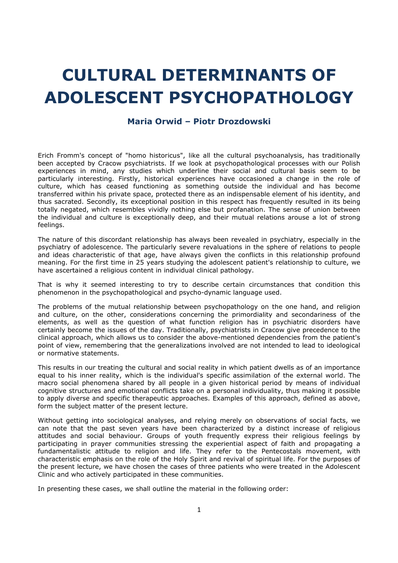# CULTURAL DETERMINANTS OF ADOLESCENT PSYCHOPATHOLOGY

## Maria Orwid – Piotr Drozdowski

Erich Fromm's concept of "homo historicus", like all the cultural psychoanalysis, has traditionally been accepted by Cracow psychiatrists. If we look at psychopathological processes with our Polish experiences in mind, any studies which underline their social and cultural basis seem to be particularly interesting. Firstly, historical experiences have occasioned a change in the role of culture, which has ceased functioning as something outside the individual and has become transferred within his private space, protected there as an indispensable element of his identity, and thus sacrated. Secondly, its exceptional position in this respect has frequently resulted in its being totally negated, which resembles vividly nothing else but profanation. The sense of union between the individual and culture is exceptionally deep, and their mutual relations arouse a lot of strong feelings.

The nature of this discordant relationship has always been revealed in psychiatry, especially in the psychiatry of adolescence. The particularly severe revaluations in the sphere of relations to people and ideas characteristic of that age, have always given the conflicts in this relationship profound meaning. For the first time in 25 years studying the adolescent patient's relationship to culture, we have ascertained a religious content in individual clinical pathology.

That is why it seemed interesting to try to describe certain circumstances that condition this phenomenon in the psychopathological and psycho-dynamic language used.

The problems of the mutual relationship between psychopathology on the one hand, and religion and culture, on the other, considerations concerning the primordiality and secondariness of the elements, as well as the question of what function religion has in psychiatric disorders have certainly become the issues of the day. Traditionally, psychiatrists in Cracow give precedence to the clinical approach, which allows us to consider the above-mentioned dependencies from the patient's point of view, remembering that the generalizations involved are not intended to lead to ideological or normative statements.

This results in our treating the cultural and social reality in which patient dwells as of an importance equal to his inner reality, which is the individual's specific assimilation of the external world. The macro social phenomena shared by all people in a given historical period by means of individual cognitive structures and emotional conflicts take on a personal individuality, thus making it possible to apply diverse and specific therapeutic approaches. Examples of this approach, defined as above, form the subject matter of the present lecture.

Without getting into sociological analyses, and relying merely on observations of social facts, we can note that the past seven years have been characterized by a distinct increase of religious attitudes and social behaviour. Groups of youth frequently express their religious feelings by participating in prayer communities stressing the experiential aspect of faith and propagating a fundamentalistic attitude to religion and life. They refer to the Pentecostals movement, with characteristic emphasis on the role of the Holy Spirit and revival of spiritual life. For the purposes of the present lecture, we have chosen the cases of three patients who were treated in the Adolescent Clinic and who actively participated in these communities.

In presenting these cases, we shall outline the material in the following order: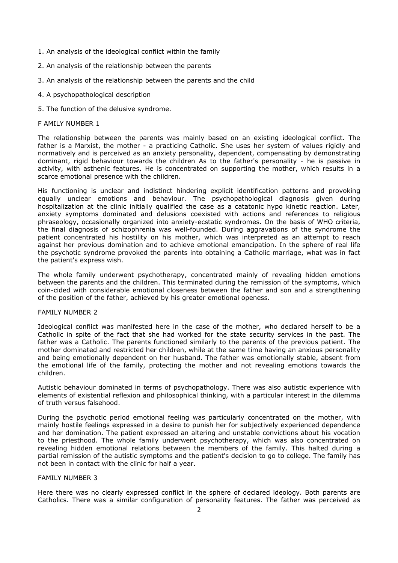- 1. An analysis of the ideological conflict within the family
- 2. An analysis of the relationship between the parents
- 3. An analysis of the relationship between the parents and the child
- 4. A psychopathological description
- 5. The function of the delusive syndrome.

#### F AMILY NUMBER 1

The relationship between the parents was mainly based on an existing ideological conflict. The father is a Marxist, the mother - a practicing Catholic. She uses her system of values rigidly and normatively and is perceived as an anxiety personality, dependent, compensating by demonstrating dominant, rigid behaviour towards the children As to the father's personality - he is passive in activity, with asthenic features. He is concentrated on supporting the mother, which results in a scarce emotional presence with the children.

His functioning is unclear and indistinct hindering explicit identification patterns and provoking equally unclear emotions and behaviour. The psychopathological diagnosis given during hospitalization at the clinic initially qualified the case as a catatonic hypo kinetic reaction. Later, anxiety symptoms dominated and delusions coexisted with actions and references to religious phraseology, occasionally organized into anxiety-ecstatic syndromes. On the basis of WHO criteria, the final diagnosis of schizophrenia was well-founded. During aggravations of the syndrome the patient concentrated his hostility on his mother, which was interpreted as an attempt to reach against her previous domination and to achieve emotional emancipation. In the sphere of real life the psychotic syndrome provoked the parents into obtaining a Catholic marriage, what was in fact the patient's express wish.

The whole family underwent psychotherapy, concentrated mainly of revealing hidden emotions between the parents and the children. This terminated during the remission of the symptoms, which coin-cided with considerable emotional closeness between the father and son and a strengthening of the position of the father, achieved by his greater emotional openess.

### FAMILY NUMBER 2

Ideological conflict was manifested here in the case of the mother, who declared herself to be a Catholic in spite of the fact that she had worked for the state security services in the past. The father was a Catholic. The parents functioned similarly to the parents of the previous patient. The mother dominated and restricted her children, while at the same time having an anxious personality and being emotionally dependent on her husband. The father was emotionally stable, absent from the emotional life of the family, protecting the mother and not revealing emotions towards the children.

Autistic behaviour dominated in terms of psychopathology. There was also autistic experience with elements of existential reflexion and philosophical thinking, with a particular interest in the dilemma of truth versus falsehood.

During the psychotic period emotional feeling was particularly concentrated on the mother, with mainly hostile feelings expressed in a desire to punish her for subjectively experienced dependence and her domination. The patient expressed an altering and unstable convictions about his vocation to the priesthood. The whole family underwent psychotherapy, which was also concentrated on revealing hidden emotional relations between the members of the family. This halted during a partial remission of the autistic symptoms and the patient's decision to go to college. The family has not been in contact with the clinic for half a year.

#### FAMILY NUMBER 3

Here there was no clearly expressed conflict in the sphere of declared ideology. Both parents are Catholics. There was a similar configuration of personality features. The father was perceived as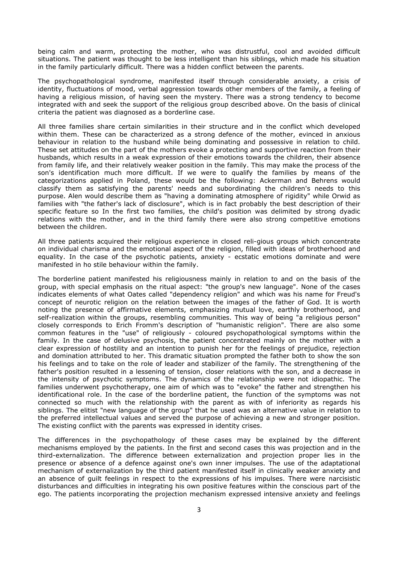being calm and warm, protecting the mother, who was distrustful, cool and avoided difficult situations. The patient was thought to be less intelligent than his siblings, which made his situation in the family particularly difficult. There was a hidden conflict between the parents.

The psychopathological syndrome, manifested itself through considerable anxiety, a crisis of identity, fluctuations of mood, verbal aggression towards other members of the family, a feeling of having a religious mission, of having seen the mystery. There was a strong tendency to become integrated with and seek the support of the religious group described above. On the basis of clinical criteria the patient was diagnosed as a borderline case.

All three families share certain similarities in their structure and in the conflict which developed within them. These can be characterized as a strong defence of the mother, evinced in anxious behaviour in relation to the husband while being dominating and possessive in relation to child. These set attitudes on the part of the mothers evoke a protecting and supportive reaction from their husbands, which results in a weak expression of their emotions towards the children, their absence from family life, and their relatively weaker position in the family. This may make the process of the son's identification much more difficult. If we were to qualify the families by means of the categorizations applied in Poland, these would be the following: Ackerman and Behrens would classify them as satisfying the parents' needs and subordinating the children's needs to this purpose. Alen would describe them as "having a dominating atmosphere of rigidity" while Orwid as families with "the father's lack of disclosure", which is in fact probably the best description of their specific feature so In the first two families, the child's position was delimited by strong dyadic relations with the mother, and in the third family there were also strong competitive emotions between the children.

All three patients acquired their religious experience in closed reli-gious groups which concentrate on individual charisma and the emotional aspect of the religion, filled with ideas of brotherhood and equality. In the case of the psychotic patients, anxiety - ecstatic emotions dominate and were manifested in ho stile behaviour within the family.

The borderline patient manifested his religiousness mainly in relation to and on the basis of the group, with special emphasis on the ritual aspect: "the group's new language". None of the cases indicates elements of what Oates called "dependency religion" and which was his name for Freud's concept of neurotic religion on the relation between the images of the father of God. It is worth noting the presence of affirmative elements, emphasizing mutual love, earthly brotherhood, and self-realization within the groups, resembling communities. This way of being "a religious person" closely corresponds to Erich Fromm's description of "humanistic religion". There are also some common features in the "use" of religiously - coloured psychopathological symptoms within the family. In the case of delusive psychosis, the patient concentrated mainly on the mother with a clear expression of hostility and an intention to punish her for the feelings of prejudice, rejection and domination attributed to her. This dramatic situation prompted the father both to show the son his feelings and to take on the role of leader and stabilizer of the family. The strengthening of the father's position resulted in a lessening of tension, closer relations with the son, and a decrease in the intensity of psychotic symptoms. The dynamics of the relationship were not idiopathic. The families underwent psychotherapy, one aim of which was to "evoke" the father and strengthen his identificational role. In the case of the borderline patient, the function of the symptoms was not connected so much with the relationship with the parent as with of inferiority as regards his siblings. The elitist "new language of the group" that he used was an alternative value in relation to the preferred intellectual values and served the purpose of achieving a new and stronger position. The existing conflict with the parents was expressed in identity crises.

The differences in the psychopathology of these cases may be explained by the different mechanisms employed by the patients. In the first and second cases this was projection and in the third-externalization. The difference between externalization and projection proper lies in the presence or absence of a defence against one's own inner impulses. The use of the adaptational mechanism of externalization by the third patient manifested itself in clinically weaker anxiety and an absence of guilt feelings in respect to the expressions of his impulses. There were narcisistic disturbances and difficulties in integrating his own positive features within the conscious part of the ego. The patients incorporating the projection mechanism expressed intensive anxiety and feelings